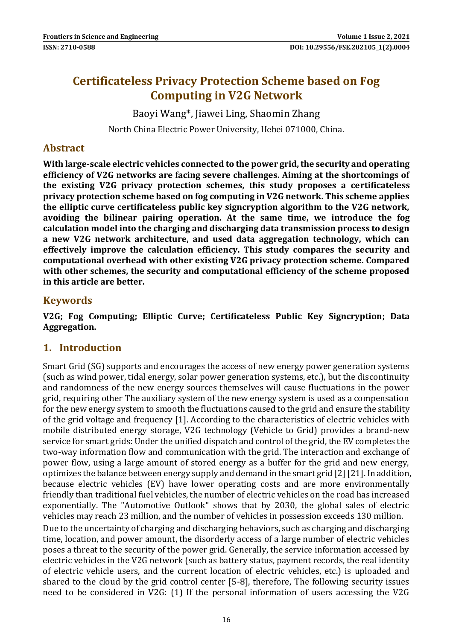# **Certificateless Privacy Protection Scheme based on Fog Computing in V2G Network**

Baoyi Wang\*, Jiawei Ling, Shaomin Zhang

North China Electric Power University, Hebei 071000, China.

#### **Abstract**

**With large-scale electric vehicles connected to the power grid, the security and operating efficiency of V2G networks are facing severe challenges. Aiming at the shortcomings of the existing V2G privacy protection schemes, this study proposes a certificateless privacy protection scheme based on fog computing in V2G network. This scheme applies the elliptic curve certificateless public key signcryption algorithm to the V2G network, avoiding the bilinear pairing operation. At the same time, we introduce the fog calculation model into the charging and discharging data transmission process to design a new V2G network architecture, and used data aggregation technology, which can effectively improve the calculation efficiency. This study compares the security and computational overhead with other existing V2G privacy protection scheme. Compared with other schemes, the security and computational efficiency of the scheme proposed in this article are better.**

#### **Keywords**

**V2G; Fog Computing; Elliptic Curve; Certificateless Public Key Signcryption; Data Aggregation.**

#### **1. Introduction**

Smart Grid (SG) supports and encourages the access of new energy power generation systems (such as wind power, tidal energy, solar power generation systems, etc.), but the discontinuity and randomness of the new energy sources themselves will cause fluctuations in the power grid, requiring other The auxiliary system of the new energy system is used as a compensation for the new energy system to smooth the fluctuations caused to the grid and ensure the stability of the grid voltage and frequency [1]. According to the characteristics of electric vehicles with mobile distributed energy storage, V2G technology (Vehicle to Grid) provides a brand-new service for smart grids: Under the unified dispatch and control of the grid, the EV completes the two-way information flow and communication with the grid. The interaction and exchange of power flow, using a large amount of stored energy as a buffer for the grid and new energy, optimizes the balance between energy supply and demand in the smart grid [2] [21]. In addition, because electric vehicles (EV) have lower operating costs and are more environmentally friendly than traditional fuel vehicles, the number of electric vehicles on the road has increased exponentially. The "Automotive Outlook" shows that by 2030, the global sales of electric vehicles may reach 23 million, and the number of vehicles in possession exceeds 130 million. Due to the uncertainty of charging and discharging behaviors, such as charging and discharging time, location, and power amount, the disorderly access of a large number of electric vehicles poses a threat to the security of the power grid. Generally, the service information accessed by electric vehicles in the V2G network (such as battery status, payment records, the real identity of electric vehicle users, and the current location of electric vehicles, etc.) is uploaded and shared to the cloud by the grid control center [5-8], therefore, The following security issues need to be considered in V2G: (1) If the personal information of users accessing the V2G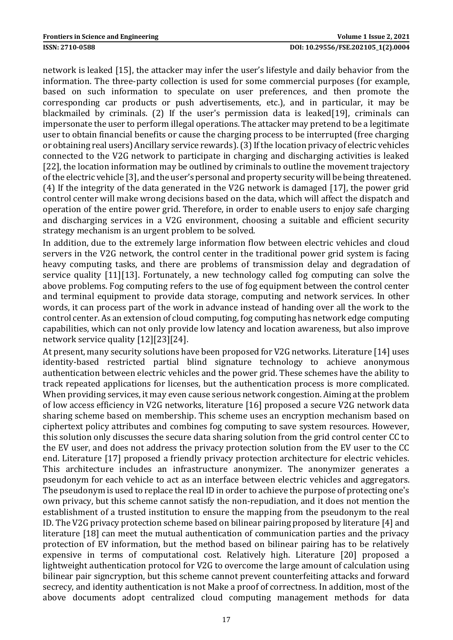network is leaked [15], the attacker may infer the user's lifestyle and daily behavior from the information. The three-party collection is used for some commercial purposes (for example, based on such information to speculate on user preferences, and then promote the corresponding car products or push advertisements, etc.), and in particular, it may be blackmailed by criminals. (2) If the user's permission data is leaked[19], criminals can impersonate the user to perform illegal operations. The attacker may pretend to be a legitimate user to obtain financial benefits or cause the charging process to be interrupted (free charging or obtaining real users) Ancillary service rewards). (3) If the location privacy of electric vehicles connected to the V2G network to participate in charging and discharging activities is leaked [22], the location information may be outlined by criminals to outline the movement trajectory of the electric vehicle [3], and the user's personal and property security will be being threatened. (4) If the integrity of the data generated in the V2G network is damaged [17], the power grid control center will make wrong decisions based on the data, which will affect the dispatch and operation of the entire power grid. Therefore, in order to enable users to enjoy safe charging and discharging services in a V2G environment, choosing a suitable and efficient security strategy mechanism is an urgent problem to be solved.

In addition, due to the extremely large information flow between electric vehicles and cloud servers in the V2G network, the control center in the traditional power grid system is facing heavy computing tasks, and there are problems of transmission delay and degradation of service quality [11][13]. Fortunately, a new technology called fog computing can solve the above problems. Fog computing refers to the use of fog equipment between the control center and terminal equipment to provide data storage, computing and network services. In other words, it can process part of the work in advance instead of handing over all the work to the control center. As an extension of cloud computing, fog computing has network edge computing capabilities, which can not only provide low latency and location awareness, but also improve network service quality [12][23][24].

At present, many security solutions have been proposed for V2G networks. Literature [14] uses identity-based restricted partial blind signature technology to achieve anonymous authentication between electric vehicles and the power grid. These schemes have the ability to track repeated applications for licenses, but the authentication process is more complicated. When providing services, it may even cause serious network congestion. Aiming at the problem of low access efficiency in V2G networks, literature [16] proposed a secure V2G network data sharing scheme based on membership. This scheme uses an encryption mechanism based on ciphertext policy attributes and combines fog computing to save system resources. However, this solution only discusses the secure data sharing solution from the grid control center CC to the EV user, and does not address the privacy protection solution from the EV user to the CC end. Literature [17] proposed a friendly privacy protection architecture for electric vehicles. This architecture includes an infrastructure anonymizer. The anonymizer generates a pseudonym for each vehicle to act as an interface between electric vehicles and aggregators. The pseudonym is used to replace the real ID in order to achieve the purpose of protecting one's own privacy, but this scheme cannot satisfy the non-repudiation, and it does not mention the establishment of a trusted institution to ensure the mapping from the pseudonym to the real ID. The V2G privacy protection scheme based on bilinear pairing proposed by literature [4] and literature [18] can meet the mutual authentication of communication parties and the privacy protection of EV information, but the method based on bilinear pairing has to be relatively expensive in terms of computational cost. Relatively high. Literature [20] proposed a lightweight authentication protocol for V2G to overcome the large amount of calculation using bilinear pair signcryption, but this scheme cannot prevent counterfeiting attacks and forward secrecy, and identity authentication is not Make a proof of correctness. In addition, most of the above documents adopt centralized cloud computing management methods for data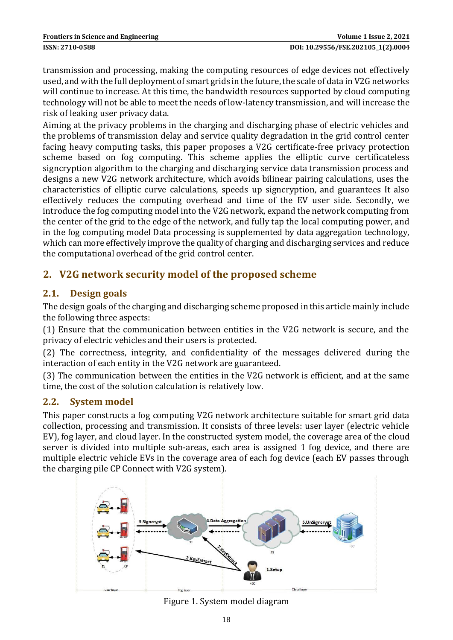transmission and processing, making the computing resources of edge devices not effectively used, and with the full deployment of smart grids in the future, the scale of data in V2G networks will continue to increase. At this time, the bandwidth resources supported by cloud computing technology will not be able to meet the needs of low-latency transmission, and will increase the risk of leaking user privacy data.

Aiming at the privacy problems in the charging and discharging phase of electric vehicles and the problems of transmission delay and service quality degradation in the grid control center facing heavy computing tasks, this paper proposes a V2G certificate-free privacy protection scheme based on fog computing. This scheme applies the elliptic curve certificateless signcryption algorithm to the charging and discharging service data transmission process and designs a new V2G network architecture, which avoids bilinear pairing calculations, uses the characteristics of elliptic curve calculations, speeds up signcryption, and guarantees It also effectively reduces the computing overhead and time of the EV user side. Secondly, we introduce the fog computing model into the V2G network, expand the network computing from the center of the grid to the edge of the network, and fully tap the local computing power, and in the fog computing model Data processing is supplemented by data aggregation technology, which can more effectively improve the quality of charging and discharging services and reduce the computational overhead of the grid control center.

# **2. V2G network security model of the proposed scheme**

## **2.1. Design goals**

The design goals of the charging and discharging scheme proposed in this article mainly include the following three aspects:

(1) Ensure that the communication between entities in the V2G network is secure, and the privacy of electric vehicles and their users is protected.

(2) The correctness, integrity, and confidentiality of the messages delivered during the interaction of each entity in the V2G network are guaranteed.

(3) The communication between the entities in the V2G network is efficient, and at the same time, the cost of the solution calculation is relatively low.

#### **2.2. System model**

This paper constructs a fog computing V2G network architecture suitable for smart grid data collection, processing and transmission. It consists of three levels: user layer (electric vehicle EV), fog layer, and cloud layer. In the constructed system model, the coverage area of the cloud server is divided into multiple sub-areas, each area is assigned 1 fog device, and there are multiple electric vehicle EVs in the coverage area of each fog device (each EV passes through the charging pile CP Connect with V2G system).



Figure 1. System model diagram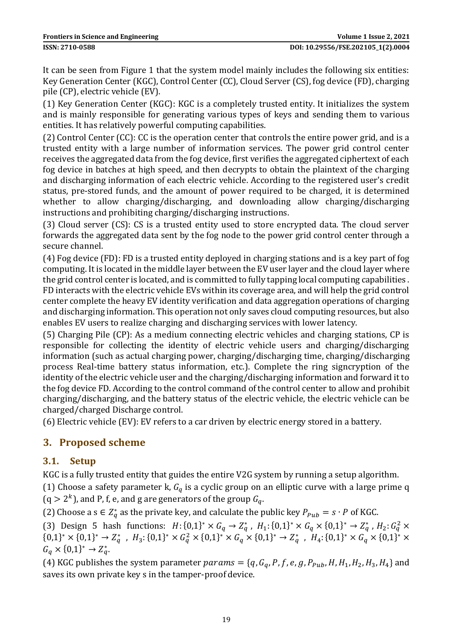It can be seen from Figure 1 that the system model mainly includes the following six entities: Key Generation Center (KGC), Control Center (CC), Cloud Server (CS), fog device (FD), charging pile (CP), electric vehicle (EV).

(1) Key Generation Center (KGC): KGC is a completely trusted entity. It initializes the system and is mainly responsible for generating various types of keys and sending them to various entities. It has relatively powerful computing capabilities.

(2) Control Center (CC): CC is the operation center that controls the entire power grid, and is a trusted entity with a large number of information services. The power grid control center receives the aggregated data from the fog device, first verifies the aggregated ciphertext of each fog device in batches at high speed, and then decrypts to obtain the plaintext of the charging and discharging information of each electric vehicle. According to the registered user's credit status, pre-stored funds, and the amount of power required to be charged, it is determined whether to allow charging/discharging, and downloading allow charging/discharging instructions and prohibiting charging/discharging instructions.

(3) Cloud server (CS): CS is a trusted entity used to store encrypted data. The cloud server forwards the aggregated data sent by the fog node to the power grid control center through a secure channel.

(4) Fog device (FD): FD is a trusted entity deployed in charging stations and is a key part of fog computing. It is located in the middle layer between the EV user layer and the cloud layer where the grid control center is located, and is committed to fully tapping local computing capabilities . FD interacts with the electric vehicle EVs within its coverage area, and will help the grid control center complete the heavy EV identity verification and data aggregation operations of charging and discharging information. This operation not only saves cloud computing resources, but also enables EV users to realize charging and discharging services with lower latency.

(5) Charging Pile (CP): As a medium connecting electric vehicles and charging stations, CP is responsible for collecting the identity of electric vehicle users and charging/discharging information (such as actual charging power, charging/discharging time, charging/discharging process Real-time battery status information, etc.). Complete the ring signcryption of the identity of the electric vehicle user and the charging/discharging information and forward it to the fog device FD. According to the control command of the control center to allow and prohibit charging/discharging, and the battery status of the electric vehicle, the electric vehicle can be charged/charged Discharge control.

(6) Electric vehicle (EV): EV refers to a car driven by electric energy stored in a battery.

# **3. Proposed scheme**

## **3.1. Setup**

KGC is a fully trusted entity that guides the entire V2G system by running a setup algorithm.

(1) Choose a safety parameter k,  $G_a$  is a cyclic group on an elliptic curve with a large prime q  $(q > 2<sup>k</sup>)$ , and P, f, e, and g are generators of the group  $G_q$ .

(2) Choose a s  $\in Z_q^*$  as the private key, and calculate the public key  $P_{Pub} = s \cdot P$  of KGC.

(3) Design 5 hash functions:  $H: \{0,1\}^* \times G_q \to Z_q^*$ ,  $H_1: \{0,1\}^* \times G_q \times \{0,1\}^* \to Z_q^*$ ,  $H_2: G_q^2 \times G_q^*$  ${0,1}^* \times {0,1}^* \rightarrow Z_q^*$ ,  $H_3: {0,1}^* \times G_q^2 \times {0,1}^* \times G_q \times {0,1}^* \rightarrow Z_q^*$ ,  $H_4: {0,1}^* \times G_q \times {0,1}^* \times$  $G_q \times \{0,1\}^* \to Z_q^*.$ 

(4) KGC publishes the system parameter  $params = \{q, G_q, P, f, e, g, P_{Pub}, H, H_1, H_2, H_3, H_4\}$  and saves its own private key s in the tamper-proof device.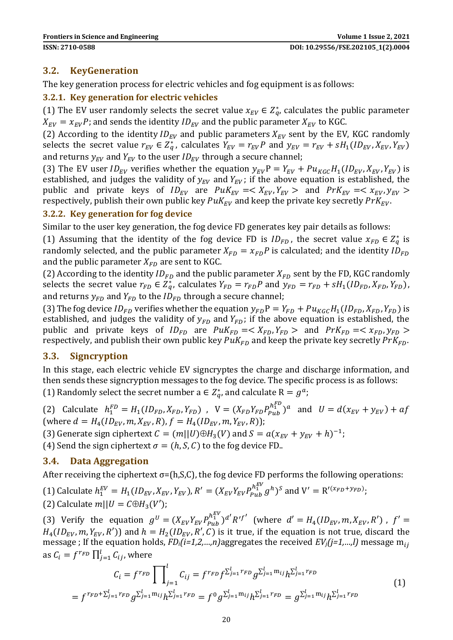#### **3.2. KeyGeneration**

The key generation process for electric vehicles and fog equipment is as follows:

#### **3.2.1. Key generation for electric vehicles**

(1) The EV user randomly selects the secret value  $x_{EV} \in Z_q^*$ , calculates the public parameter  $X_{EV} = x_{EV}P$ ; and sends the identity  $ID_{EV}$  and the public parameter  $X_{EV}$  to KGC.

(2) According to the identity  $ID_{EV}$  and public parameters  $X_{EV}$  sent by the EV, KGC randomly selects the secret value  $r_{EV} \in Z_q^*$ , calculates  $Y_{EV} = r_{EV}P$  and  $y_{EV} = r_{EV} + sH_1(ID_{EV}, X_{EV}, Y_{EV})$ and returns  $y_{EV}$  and  $Y_{EV}$  to the user  $ID_{EV}$  through a secure channel;

(3) The EV user  $ID_{EV}$  verifies whether the equation  $y_{EV}P = Y_{EV} + Pu_{KG}H_1(ID_{EV}, X_{EV}, Y_{EV})$  is established, and judges the validity of  $y_{EV}$  and  $Y_{EV}$ ; if the above equation is established, the public and private keys of  $ID_{EV}$  are  $PuK_{EV} = \langle X_{EV}, Y_{EV} \rangle$  and  $PrK_{EV} = \langle X_{EV}, Y_{EV} \rangle$ respectively, publish their own public key  $Puk_{EV}$  and keep the private key secretly  $PrK_{EV}$ .

#### **3.2.2. Key generation for fog device**

Similar to the user key generation, the fog device FD generates key pair details as follows:

(1) Assuming that the identity of the fog device FD is  $ID_{FD}$ , the secret value  $x_{FD} \in Z_q^*$  is randomly selected, and the public parameter  $X_{FD} = x_{FD}P$  is calculated; and the identity  $ID_{FD}$ and the public parameter  $X_{FD}$  are sent to KGC.

(2) According to the identity  $ID_{FD}$  and the public parameter  $X_{FD}$  sent by the FD, KGC randomly selects the secret value  $r_{FD} \in Z_q^*$ , calculates  $Y_{FD} = r_{FD}P$  and  $y_{FD} = r_{FD} + sH_1(ID_{FD}, X_{FD}, Y_{FD})$ , and returns  $y_{FD}$  and  $Y_{FD}$  to the  $ID_{FD}$  through a secure channel;

(3) The fog device  $ID_{FD}$  verifies whether the equation  $y_{FD} P = Y_{FD} + Pu_{KGC} H_1(ID_{FD}, X_{FD}, Y_{FD})$  is established, and judges the validity of  $y_{FD}$  and  $Y_{FD}$ ; if the above equation is established, the public and private keys of  $ID_{FD}$  are  $PuK_{FD} = \langle X_{FD}, Y_{FD} \rangle$  and  $PrK_{FD} = \langle X_{FD}, Y_{FD} \rangle$ respectively, and publish their own public key  $P u K_{FD}$  and keep the private key secretly  $P r K_{FD}$ .

#### **3.3. Signcryption**

In this stage, each electric vehicle EV signcryptes the charge and discharge information, and then sends these signcryption messages to the fog device. The specific process is as follows: (1) Randomly select the secret number  $a \in Z_q^*$ , and calculate  $R = g^a$ ;

(2) Calculate  $h_1^{FD} = H_1(ID_{FD}, X_{FD}, Y_{FD})$ ,  $V = (X_{FD}Y_{FD}P_{pub}^{h_1^{FD}})^a$  and  $U = d(x_{EV} + y_{EV}) + af$ (where  $d = H_4(ID_{EV}, m, X_{EV}, R), f = H_4(ID_{EV}, m, Y_{EV}, R));$ (3) Generate sign ciphertext  $C = (m||U) \oplus H_3(V)$  and  $S = a(x_{EV} + y_{EV} + h)^{-1}$ ; (4) Send the sign ciphertext  $\sigma = (h, S, C)$  to the fog device FD.

#### **3.4. Data Aggregation**

After receiving the ciphertext  $\sigma$ =(h,S,C), the fog device FD performs the following operations:

(1) Calculate  $h_1^{EV} = H_1(ID_{EV}, X_{EV}, Y_{EV}), R' = (X_{EV}Y_{EV}p_{pub}^{h_1^{EV}}g^h)^s$  and  $V' = R'(x_{FD}+y_{FD});$ (2) Calculate  $m||U = C \oplus H_3(V')$ ;

(3) Verify the equation  $g^U = (X_{EV} Y_{EV} P_{Pub}^{h_1^{EV}})^{d'} R'^{f'}$  (where  $d' = H_4(ID_{EV}, m, X_{EV}, R')$ ,  $f' =$  $H_4(ID_{EV}, m, Y_{EV}, R')$  and  $h = H_2(ID_{EV}, R', C)$  is it true, if the equation is not true, discard the message ; If the equation holds, *FDi(i=1,2,…,n)*aggregates the received *EVj(j=1,…,l)* message m as  $C_i = f^{r_{FD}} \prod_{j=1}^{l} C_{ij}$ , where

$$
C_{i} = f^{r_{FD}} \prod_{j=1}^{l} C_{ij} = f^{r_{FD}} f^{\sum_{j=1}^{l} r_{FD}} g^{\sum_{j=1}^{l} n_{ij}} h^{\sum_{j=1}^{l} r_{FD}} = f^{r_{FD} + \sum_{j=1}^{l} r_{FD}} g^{\sum_{j=1}^{l} m_{ij}} h^{\sum_{j=1}^{l} r_{FD}} = f^{0} g^{\sum_{j=1}^{l} m_{ij}} h^{\sum_{j=1}^{l} r_{FD}} = g^{\sum_{j=1}^{l} m_{ij}} h^{\sum_{j=1}^{l} r_{FD}}
$$
(1)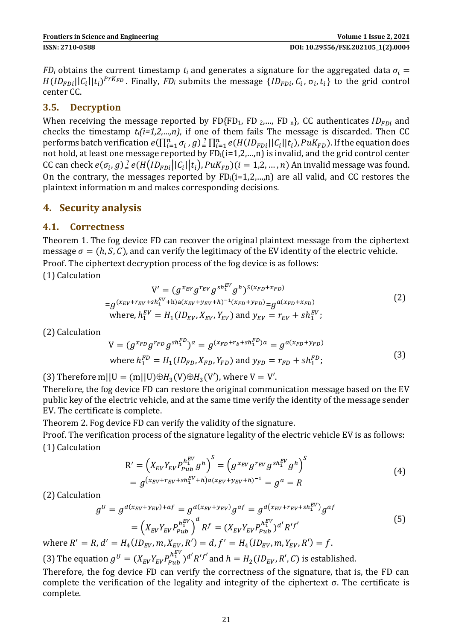*FD*<sup>*i*</sup> obtains the current timestamp  $t_i$  and generates a signature for the aggregated data  $\sigma_i$  =  $H(ID_{FDi}||C_i||t_i)^{PrK_{FD}}$ . Finally,  $FD_i$  submits the message  $\{ID_{FDi}, C_i, \sigma_i, t_i\}$  to the grid control center CC.

#### **3.5. Decryption**

When receiving the message reported by FD{FD<sub>1</sub>, FD<sub>2</sub>,..., FD<sub>n</sub>}, CC authenticates  $ID_{FDi}$  and checks the timestamp *ti(i=1,2,…,n)*, if one of them fails The message is discarded. Then CC performs batch verification  $e(\prod_{i=1}^n\sigma_i, g) \frac{?}{=} \prod_{i=1}^n e(H(ID_{FDi}||C_i||t_i), PuK_{FD})$ . If the equation does not hold, at least one message reported by FDi(i=1,2,…,n) is invalid, and the grid control center CC can check  $e(\sigma_i, g)_e^2 e(H(D_{FDi}||C_i||t_i), P u K_{FD})(i = 1,2,...,n)$  An invalid message was found. On the contrary, the messages reported by  $FD_i(i=1,2,...,n)$  are all valid, and CC restores the plaintext information m and makes corresponding decisions.

## **4. Security analysis**

#### **4.1. Correctness**

Theorem 1. The fog device FD can recover the original plaintext message from the ciphertext message  $\sigma = (h, S, C)$ , and can verify the legitimacy of the EV identity of the electric vehicle. Proof. The ciphertext decryption process of the fog device is as follows:

(1) Calculation

$$
V' = (g^{x_{EV}} g^{r_{EV}} g^{sh_1^{EV}} g^h)^{S(x_{FD} + x_{FD})}
$$
  
=  $g^{(x_{EV} + r_{EV} + sh_1^{EV} + h)a(x_{EV} + y_{EV} + h)^{-1}(x_{FD} + y_{FD})} = g^{a(x_{FD} + x_{FD})}$   
where,  $h_1^{EV} = H_1 (ID_{EV}, X_{EV}, Y_{EV})$  and  $y_{EV} = r_{EV} + sh_1^{EV}$ ; (2)

(2) Calculation

$$
V = (g^{x_{FD}}g^{r_{FD}}g^{sh_1^{FD}})^a = g^{(x_{FD} + r_b + sh_1^{FD})a} = g^{a(x_{FD} + y_{FD})}
$$
  
where  $h_1^{FD} = H_1(ID_{FD}, X_{FD}, Y_{FD})$  and  $y_{FD} = r_{FD} + sh_1^{FD}$ ; (3)

(3) Therefore m||U = (m||U) $\oplus H_3(V) \oplus H_3(V')$ , where V = V'.

Therefore, the fog device FD can restore the original communication message based on the EV public key of the electric vehicle, and at the same time verify the identity of the message sender EV. The certificate is complete.

Theorem 2. Fog device FD can verify the validity of the signature.

Proof. The verification process of the signature legality of the electric vehicle EV is as follows: (1) Calculation

$$
R' = \left(X_{EV}Y_{EV}P_{Pub}^{h_1^{EV}}g^h\right)^S = \left(g^{x_{EV}}g^{r_{EV}}g^{sh_1^{EV}}g^h\right)^S
$$
  
=  $g^{(x_{EV}+r_{EV}+sh_1^{EV}+h)a(x_{EV}+y_{EV}+h)^{-1}} = g^a = R$  (4)

(2) Calculation

$$
g^{U} = g^{d(x_{EV} + y_{EV}) + af} = g^{d(x_{EV} + y_{EV})} g^{af} = g^{d(x_{EV} + r_{EV} + sh_{1}^{EV})} g^{af}
$$
  
= 
$$
\left(X_{EV}Y_{EV}P_{Pub}^{h_{1}^{EV}}\right)^{d} R^{f} = (X_{EV}Y_{EV}P_{Pub}^{h_{1}^{EV}})^{d'} R^{f'}
$$
  
. 
$$
d' = H_{\lambda}(ID_{EV}, m, X_{EV}, R') = d, f' = H_{\lambda}(ID_{EV}, m, Y_{EV}, R') = f.
$$
 (5)

where  $R' = R$ , d  $' = H_4(ID_{EV}, m, X_{EV}, R') = d, f$  $' = H_4(ID_{EV}, m, Y_{EV}, R') = f.$ 

(3) The equation  $g^{U} = (X_{EV}Y_{EV}P_{Pub}^{h_1^{EV}})^{d'}R'^{f'}$  and  $h = H_2(ID_{EV}, R', C)$  is established.

Therefore, the fog device FD can verify the correctness of the signature, that is, the FD can complete the verification of the legality and integrity of the ciphertext σ. The certificate is complete.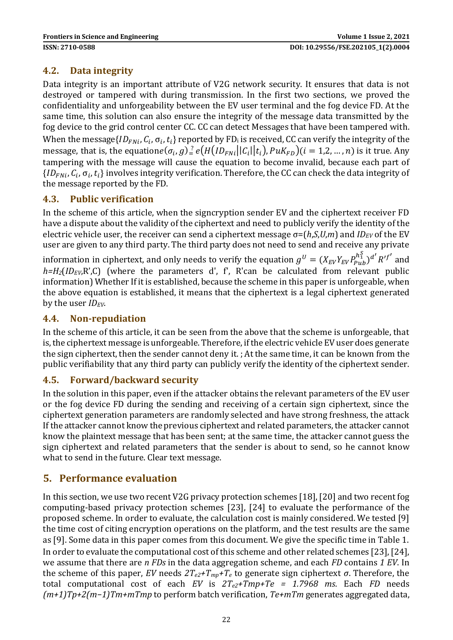### **4.2. Data integrity**

Data integrity is an important attribute of V2G network security. It ensures that data is not destroyed or tampered with during transmission. In the first two sections, we proved the confidentiality and unforgeability between the EV user terminal and the fog device FD. At the same time, this solution can also ensure the integrity of the message data transmitted by the fog device to the grid control center CC. CC can detect Messages that have been tampered with. When the message $\{ {ID_{FNi}},{C_i},{\sigma _i},{t_i}\}$  reported by FD<sub>i</sub> is received, CC can verify the integrity of the message, that is, the equation $e(\sigma_i, g)_e^2 e(H(ID_{FNi} || C_i || t_i), PuK_{FD}) (i = 1, 2, ..., n)$  is it true. Any tampering with the message will cause the equation to become invalid, because each part of  $\{ {ID}_{FNi}, C_i, \sigma_i, t_i\}$  involves integrity verification. Therefore, the CC can check the data integrity of the message reported by the FD.

#### **4.3. Public verification**

In the scheme of this article, when the signcryption sender EV and the ciphertext receiver FD have a dispute about the validity of the ciphertext and need to publicly verify the identity of the electric vehicle user, the receiver can send a ciphertext message  $σ=(h,S,U,m)$  and  $ID_{EV}$  of the EV user are given to any third party. The third party does not need to send and receive any private information in ciphertext, and only needs to verify the equation  $g^U=(X_{EV}Y_{EV}P_{Pub}^{h_1^S})^{d'}R'^{f'}$  and  $h=H_2(ID_{EV}R'C)$  (where the parameters d', f', R'can be calculated from relevant public information) Whether If it is established, because the scheme in this paper is unforgeable, when the above equation is established, it means that the ciphertext is a legal ciphertext generated by the user *IDEV*.

#### **4.4. Non-repudiation**

In the scheme of this article, it can be seen from the above that the scheme is unforgeable, that is, the ciphertext message is unforgeable. Therefore, if the electric vehicle EV user does generate the sign ciphertext, then the sender cannot deny it. ; At the same time, it can be known from the public verifiability that any third party can publicly verify the identity of the ciphertext sender.

#### **4.5. Forward/backward security**

In the solution in this paper, even if the attacker obtains the relevant parameters of the EV user or the fog device FD during the sending and receiving of a certain sign ciphertext, since the ciphertext generation parameters are randomly selected and have strong freshness, the attack If the attacker cannot know the previous ciphertext and related parameters, the attacker cannot know the plaintext message that has been sent; at the same time, the attacker cannot guess the sign ciphertext and related parameters that the sender is about to send, so he cannot know what to send in the future. Clear text message.

#### **5. Performance evaluation**

In this section, we use two recent V2G privacy protection schemes [18], [20] and two recent fog computing-based privacy protection schemes [23], [24] to evaluate the performance of the proposed scheme. In order to evaluate, the calculation cost is mainly considered. We tested [9] the time cost of citing encryption operations on the platform, and the test results are the same as [9]. Some data in this paper comes from this document. We give the specific time in Table 1. In order to evaluate the computational cost of this scheme and other related schemes [23], [24], we assume that there are *n FDs* in the data aggregation scheme, and each *FD* contains *1 EV*. In the scheme of this paper, *EV* needs  $2T_{e2}$ + $T_{mp}$ + $T_e$  to generate sign ciphertext *σ*. Therefore, the total computational cost of each *EV* is *2Te2+Tmp+Te = 1.7968 ms*. Each *FD* needs *(m+1)Tp+2(m−1)Tm+mTmp* to perform batch verification, *Te+mTm* generates aggregated data,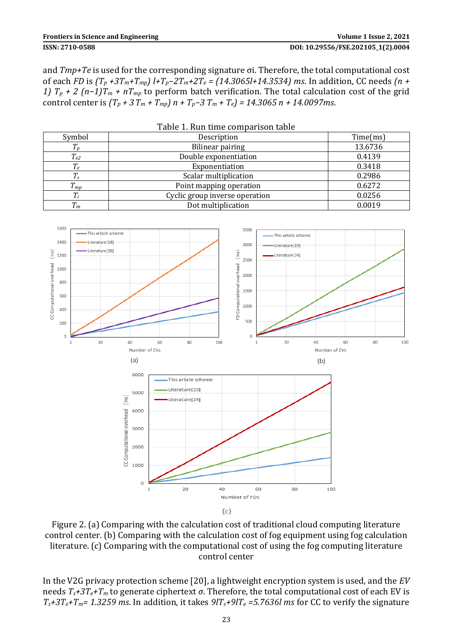#### **ISSN: 2710-0588 DOI: 10.29556/FSE.202105\_1(2).0004**

and *Tmp+Te* is used for the corresponding signature σi. Therefore, the total computational cost of each *FD* is *(T<sup>p</sup> +3Tm+Tmp) l+Tp−2Tm+2T<sup>e</sup> = (14.3065l+14.3534) ms*. In addition, CC needs *(n + 1)*  $T_p$  *+ 2* (n−1) $T_m$  *+*  $nT_{mp}$  to perform batch verification. The total calculation cost of the grid control center is  $(T_p + 3T_m + T_{mp}) n + T_p - 3T_m + T_e$  = 14.3065 n + 14.0097ms.

|             | Table 1. Run time comparison table |          |
|-------------|------------------------------------|----------|
| Symbol      | Description                        | Time(ms) |
| $T_p$       | Bilinear pairing                   | 13.6736  |
| $T_{e2}$    | Double exponentiation              | 0.4139   |
| $T_e$       | Exponentiation                     | 0.3418   |
| $T_{\rm s}$ | Scalar multiplication              | 0.2986   |
| $T_{mp}$    | Point mapping operation            | 0.6272   |
| $T_i$       | Cyclic group inverse operation     | 0.0256   |
| $T_m$       | Dot multiplication                 | 0.0019   |



Figure 2. (a) Comparing with the calculation cost of traditional cloud computing literature control center. (b) Comparing with the calculation cost of fog equipment using fog calculation literature. (c) Comparing with the computational cost of using the fog computing literature control center

In the V2G privacy protection scheme [20], a lightweight encryption system is used, and the *EV* needs *Ts+3Te+T<sup>m</sup>* to generate ciphertext *σ*. Therefore, the total computational cost of each EV is  $T_s + 3T_e + T_m = 1.3259$  ms. In addition, it takes  $9T_s + 9T_e = 5.7636$  ms for CC to verify the signature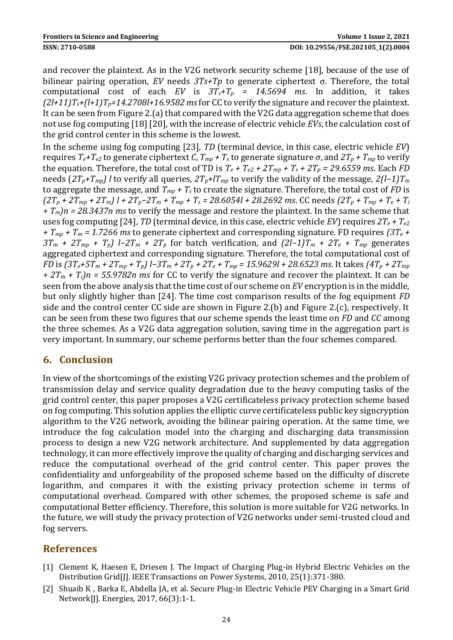and recover the plaintext. As in the V2G network security scheme [18], because of the use of bilinear pairing operation, *EV* needs *3Ts+Tp* to generate ciphertext σ. Therefore, the total computational cost of each *EV* is  $3T_s + T_p$  = 14.5694 ms. In addition, it takes  $(2l+11)T_s+(l+1)T_p=14.2708l+16.9582$  ms for CC to verify the signature and recover the plaintext. It can be seen from Figure 2.(a) that compared with the V2G data aggregation scheme that does not use fog computing [18] [20], with the increase of electric vehicle *EVs*, the calculation cost of the grid control center in this scheme is the lowest.

In the scheme using fog computing [23], *TD* (terminal device, in this case, electric vehicle *EV*) requires *Te+Te2* to generate ciphertext *C*, *Tmp + T<sup>s</sup>* to generate signature *σ*, and *2T<sup>p</sup> + Tmp* to verify the equation. Therefore, the total cost of TD is  $T_e + T_{e2} + 2T_{mp} + T_s + 2T_p = 29.6559$  ms. Each *FD* needs (*2Tp+Tmp) l* to verify all queries, *2Tp+lTmp* to verify the validity of the message, *2(l−1)T<sup>m</sup>* to aggregate the message, and *Tmp + T<sup>s</sup>* to create the signature. Therefore, the total cost of *FD* is  $(2T_p + 2T_{mp} + 2T_m)$   $l + 2T_p - 2T_m + T_{mp} + T_s = 28.6054l + 28.2692$  ms. CC needs  $(2T_p + T_{mp} + T_e + T_i)$ *+ Tm)n = 28.3437n ms* to verify the message and restore the plaintext. In the same scheme that uses fog computing [24], *TD* (terminal device, in this case, electric vehicle *EV*) requires *2T<sup>e</sup> + Te2 + Tmp + T<sup>m</sup> = 1.7266 ms* to generate ciphertext and corresponding signature. FD requires *(3T<sup>e</sup> + 3T<sup>m</sup> + 2Tmp + Tp) l−2T<sup>m</sup> + 2T<sup>p</sup>* for batch verification, and *(2l−1)T<sup>m</sup> + 2T<sup>e</sup> + Tmp* generates aggregated ciphertext and corresponding signature. Therefore, the total computational cost of FD is  $(3T_e+5T_m+2T_{mp}+T_p)$  l-3T<sub>m</sub> + 2T<sub>p</sub> + 2T<sub>e</sub> + T<sub>mp</sub> = 15.9629l + 28.6523 ms. It takes  $(4T_p + 2T_{mp}$ *+ 2T<sup>m</sup> + Ti)n = 55.9782n ms* for CC to verify the signature and recover the plaintext. It can be seen from the above analysis that the time cost of our scheme on *EV* encryption is in the middle, but only slightly higher than [24]. The time cost comparison results of the fog equipment *FD* side and the control center CC side are shown in Figure 2.(b) and Figure 2.(c), respectively. It can be seen from these two figures that our scheme spends the least time on *FD* and *CC* among the three schemes. As a V2G data aggregation solution, saving time in the aggregation part is very important. In summary, our scheme performs better than the four schemes compared.

## **6. Conclusion**

In view of the shortcomings of the existing V2G privacy protection schemes and the problem of transmission delay and service quality degradation due to the heavy computing tasks of the grid control center, this paper proposes a V2G certificateless privacy protection scheme based on fog computing. This solution applies the elliptic curve certificateless public key signcryption algorithm to the V2G network, avoiding the bilinear pairing operation. At the same time, we introduce the fog calculation model into the charging and discharging data transmission process to design a new V2G network architecture. And supplemented by data aggregation technology, it can more effectively improve the quality of charging and discharging services and reduce the computational overhead of the grid control center. This paper proves the confidentiality and unforgeability of the proposed scheme based on the difficulty of discrete logarithm, and compares it with the existing privacy protection scheme in terms of computational overhead. Compared with other schemes, the proposed scheme is safe and computational Better efficiency. Therefore, this solution is more suitable for V2G networks. In the future, we will study the privacy protection of V2G networks under semi-trusted cloud and fog servers.

#### **References**

- [1] Clement K, Haesen E, Driesen J. The Impact of Charging Plug-in Hybrid Electric Vehicles on the Distribution Grid[J]. IEEE Transactions on Power Systems, 2010, 25(1):371-380.
- [2] Shuaib K , Barka E, Abdella JA, et al. Secure Plug-in Electric Vehicle PEV Charging in a Smart Grid Network[J]. Energies, 2017, 66(3):1-1.